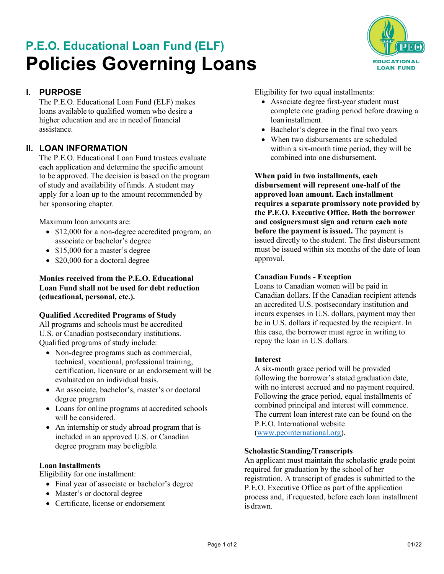# **P.E.O. Educational Loan Fund (ELF) Policies Governing Loans**



# **I. PURPOSE**

The P.E.O. Educational Loan Fund (ELF) makes loans available to qualified women who desire a higher education and are in need of financial assistance.

# **II. LOAN INFORMATION**

The P.E.O. Educational Loan Fund trustees evaluate each application and determine the specific amount to be approved. The decision is based on the program of study and availability offunds. A student may apply for a loan up to the amount recommended by her sponsoring chapter.

Maximum loan amounts are:

- \$12,000 for a non-degree accredited program, an associate or bachelor's degree
- \$15,000 for a master's degree
- \$20,000 for a doctoral degree

#### **Monies received from the P.E.O. Educational Loan Fund shall not be used for debt reduction (educational, personal, etc.).**

## **Qualified Accredited Programs of Study**

All programs and schools must be accredited U.S. or Canadian postsecondary institutions. Qualified programs of study include:

- Non-degree programs such as commercial, technical, vocational, professional training, certification, licensure or an endorsement will be evaluated on an individual basis.
- An associate, bachelor's, master's or doctoral degree program
- Loans for online programs at accredited schools will be considered.
- An internship or study abroad program that is included in an approved U.S. or Canadian degree program may be eligible.

#### **Loan Installments**

Eligibility for one installment:

- Final year of associate or bachelor's degree
- Master's or doctoral degree
- Certificate, license or endorsement

Eligibility for two equal installments:

- Associate degree first-year student must complete one grading period before drawing a loan installment.
- Bachelor's degree in the final two years
- When two disbursements are scheduled within a six-month time period, they will be combined into one disbursement.

**When paid in two installments, each disbursement will represent one-half of the approved loan amount. Each installment requires a separate promissory note provided by the P.E.O. Executive Office. Both the borrower and cosignersmust sign and return each note before the payment is issued.** The payment is issued directly to the student. The first disbursement must be issued within six months of the date of loan approval.

#### **Canadian Funds - Exception**

Loans to Canadian women will be paid in Canadian dollars. If the Canadian recipient attends an accredited U.S. postsecondary institution and incurs expenses in U.S. dollars, payment may then be in U.S. dollars if requested by the recipient. In this case, the borrower must agree in writing to repay the loan in U.S. dollars.

#### **Interest**

A six-month grace period will be provided following the borrower's stated graduation date, with no interest accrued and no payment required. Following the grace period, equal installments of combined principal and interest will commence. The current loan interest rate can be found on the P.E.O. International website [\(www.peointernational.org\)](https://www.peointernational.org/about-peo-educational-loan-fund-elf).

## **Scholastic Standing/Transcripts**

An applicant must maintain the scholastic grade point required for graduation by the school of her registration. A transcript of grades is submitted to the P.E.O. Executive Office as part of the application process and, if requested, before each loan installment is drawn.